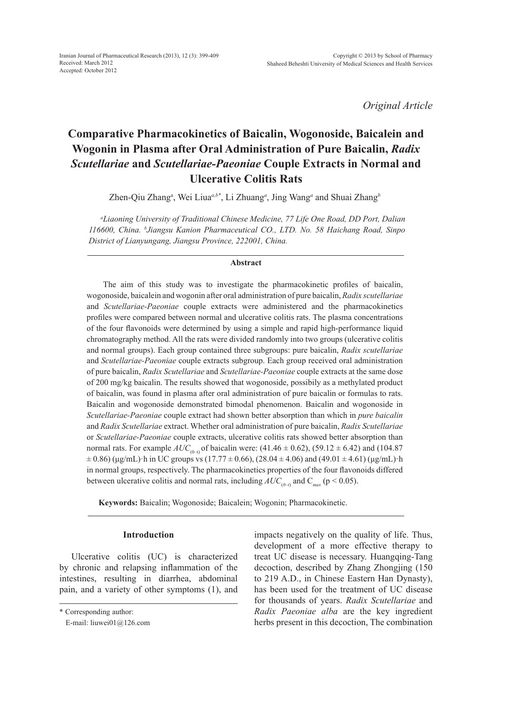*Original Article*

# **Comparative Pharmacokinetics of Baicalin, Wogonoside, Baicalein and Wogonin in Plasma after Oral Administration of Pure Baicalin,** *Radix Scutellariae* **and** *Scutellariae-Paeoniae* **Couple Extracts in Normal and Ulcerative Colitis Rats**

Zhen-Qiu Zhang<sup>a</sup>, Wei Liua<sup>*a,b\**</sup>, Li Zhuang<sup>*a*</sup>, Jing Wang<sup>*a*</sup> and Shuai Zhang<sup>*b*</sup>

*a Liaoning University of Traditional Chinese Medicine, 77 Life One Road, DD Port, Dalian 116600, China. b Jiangsu Kanion Pharmaceutical CO., LTD. No. 58 Haichang Road, Sinpo District of Lianyungang, Jiangsu Province, 222001, China.*

# **Abstract**

The aim of this study was to investigate the pharmacokinetic profiles of baicalin, wogonoside, baicalein and wogonin after oral administration of pure baicalin, *Radix scutellariae* and *Scutellariae-Paeoniae* couple extracts were administered and the pharmacokinetics profiles were compared between normal and ulcerative colitis rats. The plasma concentrations of the four flavonoids were determined by using a simple and rapid high-performance liquid chromatography method. All the rats were divided randomly into two groups (ulcerative colitis and normal groups). Each group contained three subgroups: pure baicalin, *Radix scutellariae* and *Scutellariae-Paeoniae* couple extracts subgroup. Each group received oral administration of pure baicalin, *Radix Scutellariae* and *Scutellariae-Paeoniae* couple extracts at the same dose of 200 mg/kg baicalin. The results showed that wogonoside, possibily as a methylated product of baicalin, was found in plasma after oral administration of pure baicalin or formulas to rats. Baicalin and wogonoside demonstrated bimodal phenomenon. Baicalin and wogonoside in *Scutellariae-Paeoniae* couple extract had shown better absorption than which in *pure baicalin* and *Radix Scutellariae* extract. Whether oral administration of pure baicalin, *Radix Scutellariae* or *Scutellariae-Paeoniae* couple extracts, ulcerative colitis rats showed better absorption than normal rats. For example  $AUC_{(0-1)}$  of baicalin were: (41.46  $\pm$  0.62), (59.12  $\pm$  6.42) and (104.87  $\pm$  0.86) (μg/mL)·h in UC groups vs (17.77  $\pm$  0.66), (28.04  $\pm$  4.06) and (49.01  $\pm$  4.61) (μg/mL)·h in normal groups, respectively. The pharmacokinetics properties of the four flavonoids differed between ulcerative colitis and normal rats, including  $AUC_{(0-t)}$  and  $C_{max}$  (p < 0.05).

**Keywords:** Baicalin; Wogonoside; Baicalein; Wogonin; Pharmacokinetic.

# **Introduction**

Ulcerative colitis (UC) is characterized by chronic and relapsing inflammation of the intestines, resulting in diarrhea, abdominal pain, and a variety of other symptoms (1), and impacts negatively on the quality of life. Thus, development of a more effective therapy to treat UC disease is necessary. Huangqing-Tang decoction, described by Zhang Zhongjing (150 to 219 A.D., in Chinese Eastern Han Dynasty), has been used for the treatment of UC disease for thousands of years. *Radix Scutellariae* and *Radix Paeoniae alba* are the key ingredient herbs present in this decoction, The combination

<sup>\*</sup> Corresponding author:

E-mail: liuwei01@126.com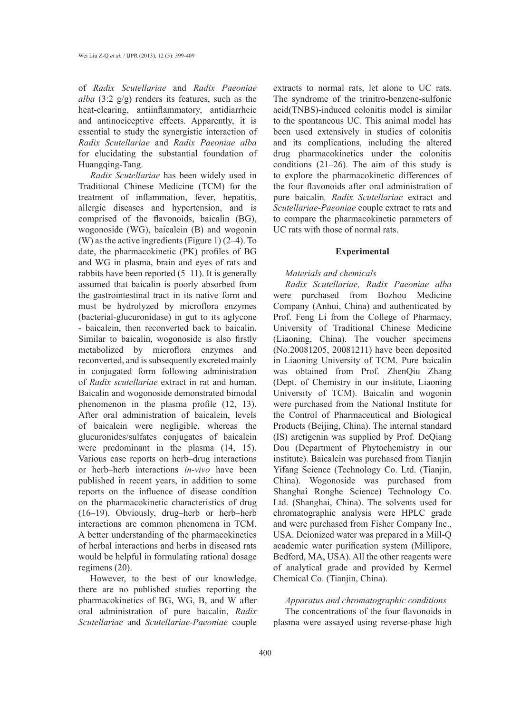of *Radix Scutellariae* and *Radix Paeoniae alba* (3:2 g/g) renders its features, such as the heat-clearing, antiinflammatory, antidiarrheic and antinociceptive effects. Apparently, it is essential to study the synergistic interaction of *Radix Scutellariae* and *Radix Paeoniae alba*  for elucidating the substantial foundation of Huangqing-Tang.

*Radix Scutellariae* has been widely used in Traditional Chinese Medicine (TCM) for the treatment of inflammation, fever, hepatitis, allergic diseases and hypertension, and is comprised of the flavonoids, baicalin (BG), wogonoside (WG), baicalein (B) and wogonin (W) as the active ingredients (Figure 1) (2–4). To date, the pharmacokinetic (PK) profiles of BG and WG in plasma, brain and eyes of rats and rabbits have been reported (5–11). It is generally assumed that baicalin is poorly absorbed from the gastrointestinal tract in its native form and must be hydrolyzed by microflora enzymes (bacterial-glucuronidase) in gut to its aglycone - baicalein, then reconverted back to baicalin. Similar to baicalin, wogonoside is also firstly metabolized by microflora enzymes and reconverted, and is subsequently excreted mainly in conjugated form following administration of *Radix scutellariae* extract in rat and human. Baicalin and wogonoside demonstrated bimodal phenomenon in the plasma profile (12, 13). After oral administration of baicalein, levels of baicalein were negligible, whereas the glucuronides/sulfates conjugates of baicalein were predominant in the plasma (14, 15). Various case reports on herb–drug interactions or herb–herb interactions *in-vivo* have been published in recent years, in addition to some reports on the influence of disease condition on the pharmacokinetic characteristics of drug (16–19). Obviously, drug–herb or herb–herb interactions are common phenomena in TCM. A better understanding of the pharmacokinetics of herbal interactions and herbs in diseased rats would be helpful in formulating rational dosage regimens (20).

However, to the best of our knowledge, there are no published studies reporting the pharmacokinetics of BG, WG, B, and W after oral administration of pure baicalin, *Radix Scutellariae* and *Scutellariae-Paeoniae* couple

extracts to normal rats, let alone to UC rats. The syndrome of the trinitro-benzene-sulfonic acid(TNBS)-induced colonitis model is similar to the spontaneous UC. This animal model has been used extensively in studies of colonitis and its complications, including the altered drug pharmacokinetics under the colonitis conditions (21–26). The aim of this study is to explore the pharmacokinetic differences of the four flavonoids after oral administration of pure baicalin*, Radix Scutellariae* extract and *Scutellariae-Paeoniae* couple extract to rats and to compare the pharmacokinetic parameters of UC rats with those of normal rats.

#### **Experimental**

# *Materials and chemicals*

*Radix Scutellariae, Radix Paeoniae alba*  were purchased from Bozhou Medicine Company (Anhui, China) and authenticated by Prof. Feng Li from the College of Pharmacy, University of Traditional Chinese Medicine (Liaoning, China). The voucher specimens (No.20081205, 20081211) have been deposited in Liaoning University of TCM. Pure baicalin was obtained from Prof. ZhenQiu Zhang (Dept. of Chemistry in our institute, Liaoning University of TCM). Baicalin and wogonin were purchased from the National Institute for the Control of Pharmaceutical and Biological Products (Beijing, China). The internal standard (IS) arctigenin was supplied by Prof. DeQiang Dou (Department of Phytochemistry in our institute). Baicalein was purchased from Tianjin Yifang Science (Technology Co. Ltd. (Tianjin, China). Wogonoside was purchased from Shanghai Ronghe Science) Technology Co. Ltd. (Shanghai, China). The solvents used for chromatographic analysis were HPLC grade and were purchased from Fisher Company Inc., USA. Deionized water was prepared in a Mill-Q academic water purification system (Millipore, Bedford, MA, USA). All the other reagents were of analytical grade and provided by Kermel Chemical Co. (Tianjin, China).

# *Apparatus and chromatographic conditions*

The concentrations of the four flavonoids in plasma were assayed using reverse-phase high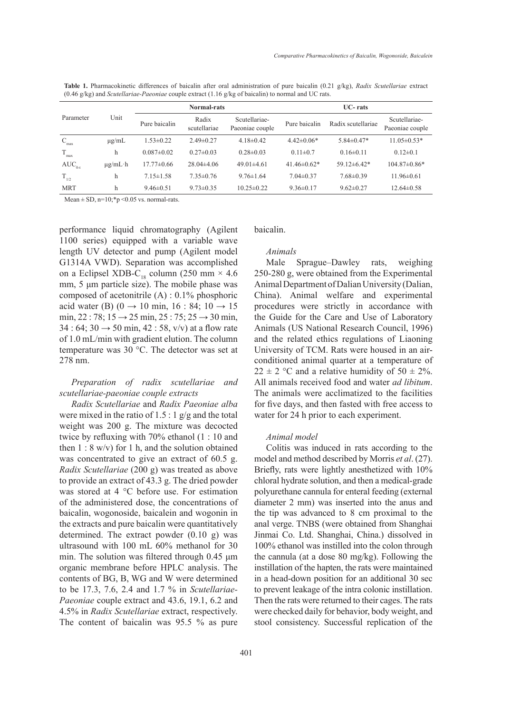| <b>Table 1.</b> Pharmacokinetic differences of baicalin after oral administration of pure baicalin (0.21 g/kg), Radix Scutellariae extract |  |  |  |  |
|--------------------------------------------------------------------------------------------------------------------------------------------|--|--|--|--|
| $(0.46 \text{ g/kg})$ and <i>Scutellariae-Paeoniae</i> couple extract $(1.16 \text{ g/kg of baicalin})$ to normal and UC rats.             |  |  |  |  |

|                           | Unit         | <b>Normal-rats</b> |                       |                                  | <b>UC-rats</b>       |                    |                                  |  |
|---------------------------|--------------|--------------------|-----------------------|----------------------------------|----------------------|--------------------|----------------------------------|--|
| Parameter                 |              | Pure baicalin      | Radix<br>scutellariae | Scutellariae-<br>Paeoniae couple | Pure baicalin        | Radix scutellariae | Scutellariae-<br>Paeoniae couple |  |
| $\mathbf{C}_{\text{max}}$ | $\mu$ g/mL   | $1.53 \pm 0.22$    | $2.49\pm 0.27$        | $4.18\pm0.42$                    | $4.42\pm0.06*$       | $5.84\pm0.47*$     | $11.05 \pm 0.53*$                |  |
| T.<br>max                 | h            | $0.087 \pm 0.02$   | $0.27 \pm 0.03$       | $0.28 \pm 0.03$                  | $0.11 \pm 0.7$       | $0.16 \pm 0.11$    | $0.12 \pm 0.1$                   |  |
| $AUC_{0-t}$               | $\mu$ g/mL·h | $17.77 \pm 0.66$   | $28.04\pm4.06$        | $49.01\pm4.61$                   | 41.46 $\pm$ 0.62 $*$ | $59.12 \pm 6.42*$  | $104.87\pm0.86*$                 |  |
| $T_{1/2}$                 | h            | $7.15 \pm 1.58$    | $7.35 \pm 0.76$       | $9.76 \pm 1.64$                  | $7.04\pm 0.37$       | $7.68 \pm 0.39$    | $11.96 \pm 0.61$                 |  |
| <b>MRT</b>                | h            | $9.46\pm0.51$      | $9.73 \pm 0.35$       | $10.25 \pm 0.22$                 | $9.36 \pm 0.17$      | $9.62 \pm 0.27$    | $12.64 \pm 0.58$                 |  |

Mean  $\pm$  SD, n=10;\*p <0.05 vs. normal-rats.

performance liquid chromatography (Agilent 1100 series) equipped with a variable wave length UV detector and pump (Agilent model G1314A VWD). Separation was accomplished on a Eclipsel XDB-C<sub>18</sub> column (250 mm  $\times$  4.6 mm, 5 μm particle size). The mobile phase was composed of acetonitrile (A) : 0.1% phosphoric acid water (B) (0 → 10 min, 16 : 84; 10 → 15 min, 22 : 78;  $15 \rightarrow 25$  min,  $25 : 75$ ;  $25 \rightarrow 30$  min,  $34 : 64; 30 \rightarrow 50$  min,  $42 : 58$ , v/v) at a flow rate of 1.0 mL/min with gradient elution. The column temperature was 30 °C. The detector was set at 278 nm.

# *Preparation of radix scutellariae and scutellariae-paeoniae couple extracts*

*Radix Scutellariae* and *Radix Paeoniae alba* were mixed in the ratio of 1.5 : 1 g/g and the total weight was 200 g. The mixture was decocted twice by refluxing with 70% ethanol (1 : 10 and then  $1: 8$  w/v) for 1 h, and the solution obtained was concentrated to give an extract of 60.5 g. *Radix Scutellariae* (200 g) was treated as above to provide an extract of 43.3 g. The dried powder was stored at 4 °C before use. For estimation of the administered dose, the concentrations of baicalin, wogonoside, baicalein and wogonin in the extracts and pure baicalin were quantitatively determined. The extract powder (0.10 g) was ultrasound with 100 mL 60% methanol for 30 min. The solution was filtered through 0.45 μm organic membrane before HPLC analysis. The contents of BG, B, WG and W were determined to be 17.3, 7.6, 2.4 and 1.7 % in *Scutellariae-Paeoniae* couple extract and 43.6, 19.1, 6.2 and 4.5% in *Radix Scutellariae* extract, respectively. The content of baicalin was 95.5 % as pure baicalin.

# *Animals*

Male Sprague–Dawley rats, weighing 250-280 g, were obtained from the Experimental Animal Department of Dalian University (Dalian, China). Animal welfare and experimental procedures were strictly in accordance with the Guide for the Care and Use of Laboratory Animals (US National Research Council, 1996) and the related ethics regulations of Liaoning University of TCM. Rats were housed in an airconditioned animal quarter at a temperature of  $22 \pm 2$  °C and a relative humidity of 50  $\pm$  2%. All animals received food and water *ad libitum*. The animals were acclimatized to the facilities for five days, and then fasted with free access to water for 24 h prior to each experiment.

## *Animal model*

Colitis was induced in rats according to the model and method described by Morris *et al*. (27). Briefly, rats were lightly anesthetized with 10% chloral hydrate solution, and then a medical-grade polyurethane cannula for enteral feeding (external diameter 2 mm) was inserted into the anus and the tip was advanced to 8 cm proximal to the anal verge. TNBS (were obtained from Shanghai Jinmai Co. Ltd. Shanghai, China.) dissolved in 100% ethanol was instilled into the colon through the cannula (at a dose 80 mg/kg). Following the instillation of the hapten, the rats were maintained in a head-down position for an additional 30 sec to prevent leakage of the intra colonic instillation. Then the rats were returned to their cages. The rats were checked daily for behavior, body weight, and stool consistency. Successful replication of the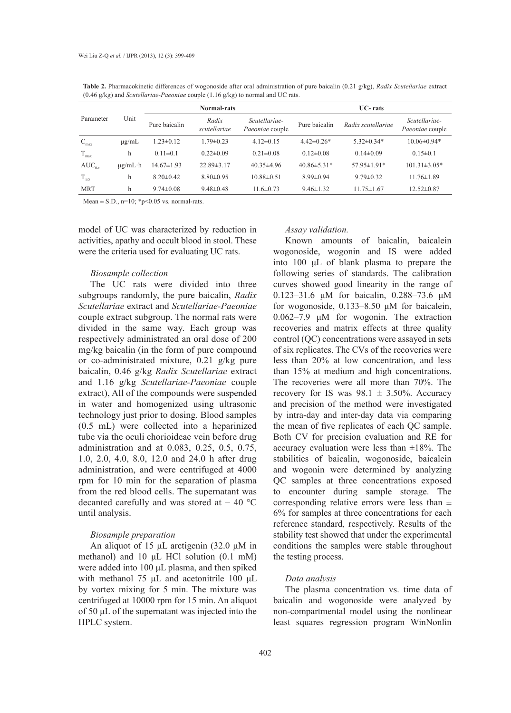| $(0.10 \pm 0.00)$ and <i>bothering two 1 acomme couple</i> $(1.10 \pm 0.00)$ for normal and $\infty$ take. |              |                    |                       |                                  |                   |                    |                                  |  |  |
|------------------------------------------------------------------------------------------------------------|--------------|--------------------|-----------------------|----------------------------------|-------------------|--------------------|----------------------------------|--|--|
|                                                                                                            |              | <b>Normal-rats</b> |                       |                                  | $UC-$ rats        |                    |                                  |  |  |
| Parameter                                                                                                  | Unit         | Pure baicalin      | Radix<br>scutellariae | Scutellariae-<br>Paeoniae couple | Pure baicalin     | Radix scutellariae | Scutellariae-<br>Paeoniae couple |  |  |
| C<br>max                                                                                                   | $\mu$ g/mL   | $1.23 \pm 0.12$    | $1.79 \pm 0.23$       | $4.12\pm0.15$                    | $4.42\pm0.26*$    | $5.32 \pm 0.34*$   | $10.06 \pm 0.94*$                |  |  |
| $\rm T_{max}$                                                                                              | h            | $0.11 \pm 0.1$     | $0.22 \pm 0.09$       | $0.21 \pm 0.08$                  | $0.12 \pm 0.08$   | $0.14 \pm 0.09$    | $0.15 \pm 0.1$                   |  |  |
| $AUC_{0-t}$                                                                                                | $\mu$ g/mL·h | $14.67 \pm 1.93$   | $22.89 \pm 3.17$      | $40.35\pm4.96$                   | $40.86 \pm 5.31*$ | $57.95 \pm 1.91*$  | $101.31 \pm 3.05*$               |  |  |
| $T_{1/2}$                                                                                                  | h            | $8.20 \pm 0.42$    | $8.80\pm0.95$         | $10.88\pm0.51$                   | $8.99 \pm 0.94$   | $9.79 \pm 0.32$    | $11.76 \pm 1.89$                 |  |  |
| <b>MRT</b>                                                                                                 | h            | $9.74 \pm 0.08$    | $9.48 \pm 0.48$       | $11.6\pm 0.73$                   | $9.46 \pm 1.32$   | $11.75 \pm 1.67$   | $12.52\pm0.87$                   |  |  |

**Table 2.** Pharmacokinetic differences of wogonoside after oral administration of pure baicalin (0.21 g/kg), *Radix Scutellariae* extract (0.46 g/kg) and *Scutellariae-Paeoniae* couple (1.16 g/kg) to normal and UC rats.

Mean  $\pm$  S.D., n=10; \*p<0.05 vs. normal-rats.

model of UC was characterized by reduction in activities, apathy and occult blood in stool. These were the criteria used for evaluating UC rats.

## *Biosample collection*

The UC rats were divided into three subgroups randomly, the pure baicalin, *Radix Scutellariae* extract and *Scutellariae-Paeoniae*  couple extract subgroup. The normal rats were divided in the same way. Each group was respectively administrated an oral dose of 200 mg/kg baicalin (in the form of pure compound or co-administrated mixture, 0.21 g/kg pure baicalin, 0.46 g/kg *Radix Scutellariae* extract and 1.16 g/kg *Scutellariae-Paeoniae* couple extract), All of the compounds were suspended in water and homogenized using ultrasonic technology just prior to dosing. Blood samples (0.5 mL) were collected into a heparinized tube via the oculi chorioideae vein before drug administration and at 0.083, 0.25, 0.5, 0.75, 1.0, 2.0, 4.0, 8.0, 12.0 and 24.0 h after drug administration, and were centrifuged at 4000 rpm for 10 min for the separation of plasma from the red blood cells. The supernatant was decanted carefully and was stored at − 40 °C until analysis.

# *Biosample preparation*

An aliquot of 15 μL arctigenin (32.0 μM in methanol) and 10 μL HCl solution (0.1 mM) were added into 100 μL plasma, and then spiked with methanol 75 μL and acetonitrile 100 μL by vortex mixing for 5 min. The mixture was centrifuged at 10000 rpm for 15 min. An aliquot of 50 μL of the supernatant was injected into the HPLC system.

#### *Assay validation.*

Known amounts of baicalin, baicalein wogonoside, wogonin and IS were added into 100 μL of blank plasma to prepare the following series of standards. The calibration curves showed good linearity in the range of 0.123–31.6 μM for baicalin, 0.288–73.6 μM for wogonoside, 0.133–8.50 μM for baicalein, 0.062–7.9 μM for wogonin. The extraction recoveries and matrix effects at three quality control (QC) concentrations were assayed in sets of six replicates. The CVs of the recoveries were less than 20% at low concentration, and less than 15% at medium and high concentrations. The recoveries were all more than 70%. The recovery for IS was  $98.1 \pm 3.50\%$ . Accuracy and precision of the method were investigated by intra-day and inter-day data via comparing the mean of five replicates of each QC sample. Both CV for precision evaluation and RE for accuracy evaluation were less than  $\pm 18\%$ . The stabilities of baicalin, wogonoside, baicalein and wogonin were determined by analyzing QC samples at three concentrations exposed to encounter during sample storage. The corresponding relative errors were less than  $\pm$ 6% for samples at three concentrations for each reference standard, respectively. Results of the stability test showed that under the experimental conditions the samples were stable throughout the testing process.

# *Data analysis*

The plasma concentration vs. time data of baicalin and wogonoside were analyzed by non-compartmental model using the nonlinear least squares regression program WinNonlin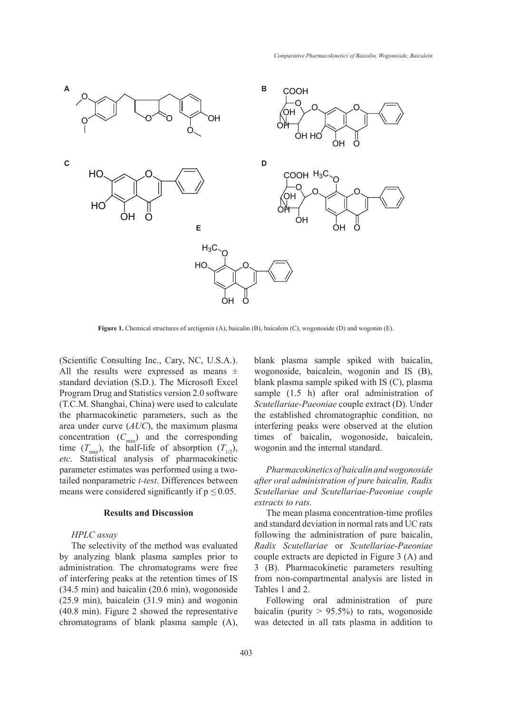

**Figure 1.** Chemical structures of arctigenin (A), baicalin (B), baicalein (C), wogonoside (D) and wogonin (E).

(Scientific Consulting Inc., Cary, NC, U.S.A.). All the results were expressed as means  $\pm$ standard deviation (S.D.). The Microsoft Excel Program Drug and Statistics version 2.0 software (T.C.M. Shanghai, China) were used to calculate the pharmacokinetic parameters, such as the area under curve (*AUC*), the maximum plasma concentration  $(C_{\text{max}})$  and the corresponding time  $(T_{\text{max}})$ , the half-life of absorption  $(T_{1/2})$ , *etc*. Statistical analysis of pharmacokinetic parameter estimates was performed using a twotailed nonparametric *t-test*. Differences between means were considered significantly if  $p \leq 0.05$ .

# **Results and Discussion**

# *HPLC assay*

The selectivity of the method was evaluated by analyzing blank plasma samples prior to administration. The chromatograms were free of interfering peaks at the retention times of IS (34.5 min) and baicalin (20.6 min), wogonoside (25.9 min), baicalein (31.9 min) and wogonin (40.8 min). Figure 2 showed the representative chromatograms of blank plasma sample (A), blank plasma sample spiked with baicalin, wogonoside, baicalein, wogonin and IS (B), blank plasma sample spiked with IS (C), plasma sample (1.5 h) after oral administration of *Scutellariae-Paeoniae* couple extract (D). Under the established chromatographic condition, no interfering peaks were observed at the elution times of baicalin, wogonoside, baicalein, wogonin and the internal standard.

*Pharmacokinetics of baicalin and wogonoside after oral administration of pure baicalin, Radix Scutellariae and Scutellariae-Paeoniae couple extracts to rats.*

The mean plasma concentration-time profiles and standard deviation in normal rats and UC rats following the administration of pure baicalin, *Radix Scutellariae* or *Scutellariae-Paeoniae* couple extracts are depicted in Figure 3 (A) and 3 (B). Pharmacokinetic parameters resulting from non-compartmental analysis are listed in Tables 1 and 2.

Following oral administration of pure baicalin (purity  $> 95.5\%$ ) to rats, wogonoside was detected in all rats plasma in addition to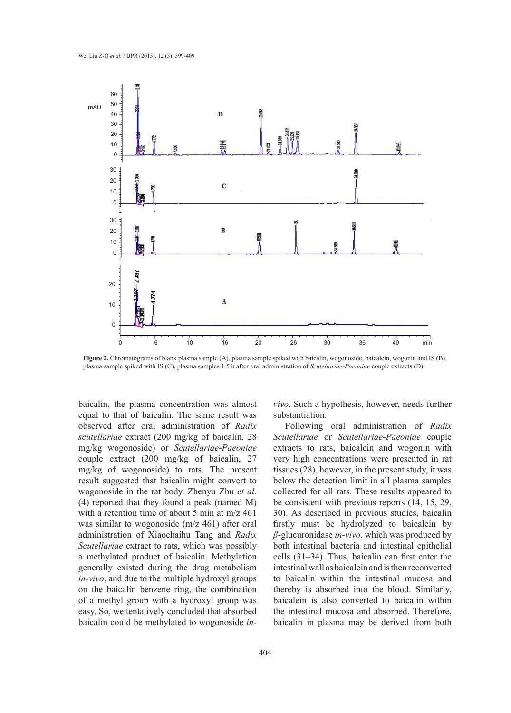

**Figure 2.** Chromatograms of blank plasma sample (A), plasma sample spiked with baicalin, wogonoside, baicalein, wogonin and IS (B), plasma sample spiked with IS (C), plasma samples 1.5 h after oral administration of *Scutellariae-Paeoniae* couple extracts (D).

baicalin, the plasma concentration was almost equal to that of baicalin. The same result was observed after oral administration of *Radix scutellariae* extract (200 mg/kg of baicalin, 28 mg/kg wogonoside) or *Scutellariae-Paeoniae* couple extract (200 mg/kg of baicalin, 27 mg/kg of wogonoside) to rats. The present result suggested that baicalin might convert to wogonoside in the rat body. Zhenyu Zhu *et al*. (4) reported that they found a peak (named M) with a retention time of about 5 min at m/z 461 was similar to wogonoside (m/z 461) after oral administration of Xiaochaihu Tang and *Radix Scutellariae* extract to rats, which was possibly a methylated product of baicalin. Methylation generally existed during the drug metabolism *in-vivo*, and due to the multiple hydroxyl groups on the baicalin benzene ring, the combination of a methyl group with a hydroxyl group was easy. So, we tentatively concluded that absorbed baicalin could be methylated to wogonoside *in-* *vivo*. Such a hypothesis, however, needs further substantiation.

Following oral administration of *Radix Scutellariae* or *Scutellariae-Paeoniae* couple extracts to rats, baicalein and wogonin with very high concentrations were presented in rat tissues (28), however, in the present study, it was below the detection limit in all plasma samples collected for all rats. These results appeared to be consistent with previous reports (14, 15, 29, 30). As described in previous studies, baicalin firstly must be hydrolyzed to baicalein by *β*-glucuronidase *in-vivo*, which was produced by both intestinal bacteria and intestinal epithelial cells (31–34). Thus, baicalin can first enter the intestinal wall as baicalein and is then reconverted to baicalin within the intestinal mucosa and thereby is absorbed into the blood. Similarly, baicalein is also converted to baicalin within the intestinal mucosa and absorbed. Therefore, baicalin in plasma may be derived from both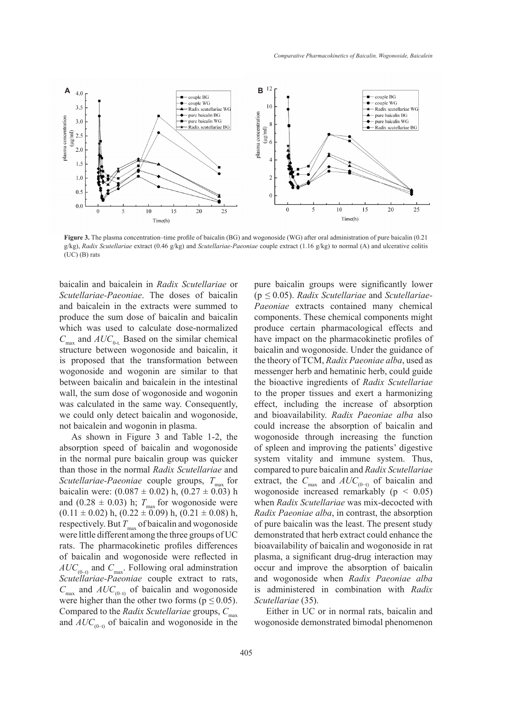

**Figure 3.** The plasma concentration–time profile of baicalin (BG) and wogonoside (WG) after oral administration of pure baicalin (0.21 g/kg), *Radix Scutellariae* extract (0.46 g/kg) and *Scutellariae-Paeoniae* couple extract (1.16 g/kg) to normal (A) and ulcerative colitis (UC) (B) rats

baicalin and baicalein in *Radix Scutellariae* or *Scutellariae-Paeoniae*. The doses of baicalin and baicalein in the extracts were summed to produce the sum dose of baicalin and baicalin which was used to calculate dose-normalized  $C_{\text{max}}$  and  $AUC_{0-t}$ . Based on the similar chemical structure between wogonoside and baicalin, it is proposed that the transformation between wogonoside and wogonin are similar to that between baicalin and baicalein in the intestinal wall, the sum dose of wogonoside and wogonin was calculated in the same way. Consequently, we could only detect baicalin and wogonoside, not baicalein and wogonin in plasma.

As shown in Figure 3 and Table 1-2, the absorption speed of baicalin and wogonoside in the normal pure baicalin group was quicker than those in the normal *Radix Scutellariae* and *Scutellariae-Paeoniae* couple groups,  $T_{\text{max}}$  for baicalin were:  $(0.087 \pm 0.02)$  h,  $(0.27 \pm 0.03)$  h and (0.28  $\pm$  0.03) h;  $T_{\text{max}}$  for wogonoside were  $(0.11 \pm 0.02)$  h,  $(0.22 \pm 0.09)$  h,  $(0.21 \pm 0.08)$  h, respectively. But  $T_{\text{max}}$  of baicalin and wogonoside were little different among the three groups of UC rats. The pharmacokinetic profiles differences of baicalin and wogonoside were reflected in  $AUC_{(0-1)}$  and  $C_{\text{max}}$ . Following oral adminstration *Scutellariae-Paeoniae* couple extract to rats,  $C_{\text{max}}$  and  $AUC_{(0-1)}$  of baicalin and wogonoside were higher than the other two forms ( $p \le 0.05$ ). Compared to the *Radix Scutellariae* groups,  $C_{\text{max}}$ and  $AUC_{(0-1)}$  of baicalin and wogonoside in the

pure baicalin groups were significantly lower (p *≤* 0.05). *Radix Scutellariae* and *Scutellariae-Paeoniae* extracts contained many chemical components. These chemical components might produce certain pharmacological effects and have impact on the pharmacokinetic profiles of baicalin and wogonoside. Under the guidance of the theory of TCM, *Radix Paeoniae alba*, used as messenger herb and hematinic herb, could guide the bioactive ingredients of *Radix Scutellariae* to the proper tissues and exert a harmonizing effect, including the increase of absorption and bioavailability. *Radix Paeoniae alba* also could increase the absorption of baicalin and wogonoside through increasing the function of spleen and improving the patients' digestive system vitality and immune system. Thus, compared to pure baicalin and *Radix Scutellariae* extract, the  $C_{\text{max}}$  and  $AUC_{(0-t)}$  of baicalin and wogonoside increased remarkably (p *<* 0.05) when *Radix Scutellariae* was mix-decocted with *Radix Paeoniae alba*, in contrast, the absorption of pure baicalin was the least. The present study demonstrated that herb extract could enhance the bioavailability of baicalin and wogonoside in rat plasma, a significant drug-drug interaction may occur and improve the absorption of baicalin and wogonoside when *Radix Paeoniae alba* is administered in combination with *Radix Scutellariae* (35).

Either in UC or in normal rats, baicalin and wogonoside demonstrated bimodal phenomenon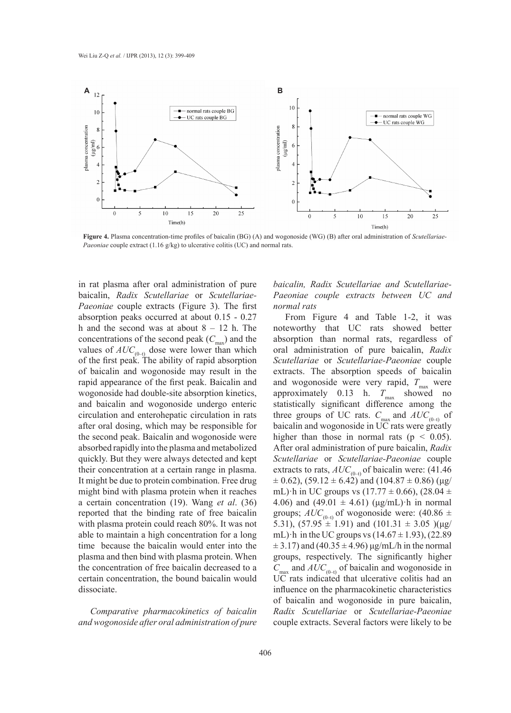

**Figure 4.** Plasma concentration-time profiles of baicalin (BG) (A) and wogonoside (WG) (B) after oral administration of *Scutellariae-Paeoniae* couple extract (1.16 g/kg) to ulcerative colitis (UC) and normal rats.

in rat plasma after oral administration of pure baicalin, *Radix Scutellariae* or *Scutellariae-Paeoniae* couple extracts (Figure 3). The first absorption peaks occurred at about 0.15 - 0.27 h and the second was at about  $8 - 12$  h. The concentrations of the second peak  $(C_{\text{max}})$  and the values of  $AUC_{(0-t)}$  dose were lower than which of the first peak. The ability of rapid absorption of baicalin and wogonoside may result in the rapid appearance of the first peak. Baicalin and wogonoside had double-site absorption kinetics, and baicalin and wogonoside undergo enteric circulation and enterohepatic circulation in rats after oral dosing, which may be responsible for the second peak. Baicalin and wogonoside were absorbed rapidly into the plasma and metabolized quickly. But they were always detected and kept their concentration at a certain range in plasma. It might be due to protein combination. Free drug might bind with plasma protein when it reaches a certain concentration (19). Wang *et al*. (36) reported that the binding rate of free baicalin with plasma protein could reach 80%. It was not able to maintain a high concentration for a long time because the baicalin would enter into the plasma and then bind with plasma protein. When the concentration of free baicalin decreased to a certain concentration, the bound baicalin would dissociate.

*Comparative pharmacokinetics of baicalin and wogonoside after oral administration of pure* 

# *baicalin, Radix Scutellariae and Scutellariae-Paeoniae couple extracts between UC and normal rats*

From Figure 4 and Table 1-2, it was noteworthy that UC rats showed better absorption than normal rats, regardless of oral administration of pure baicalin, *Radix Scutellariae* or *Scutellariae-Paeoniae* couple extracts. The absorption speeds of baicalin and wogonoside were very rapid,  $T_{\text{max}}$  were approximately  $0.13$  h.  $T_{\text{max}}$  showed no statistically significant difference among the three groups of UC rats.  $C_{\text{max}}$  and  $AUC_{(0-1)}$  of baicalin and wogonoside in UC rats were greatly higher than those in normal rats ( $p < 0.05$ ). After oral administration of pure baicalin, *Radix Scutellariae* or *Scutellariae-Paeoniae* couple extracts to rats,  $AUC_{(0-t)}$  of baicalin were: (41.46)  $\pm$  0.62), (59.12  $\pm$  6.42) and (104.87  $\pm$  0.86) (µg/ mL) h in UC groups vs  $(17.77 \pm 0.66)$ ,  $(28.04 \pm 1.77)$ 4.06) and  $(49.01 \pm 4.61)$  ( $\mu$ g/mL) $\cdot$ h in normal groups;  $AUC_{(0-1)}$  of wogonoside were: (40.86  $\pm$ 5.31),  $(57.95 \pm 1.91)$  and  $(101.31 \pm 3.05)$   $(\mu$ g/ mL) $\cdot$ h in the UC groups vs (14.67  $\pm$  1.93), (22.89  $\pm$  3.17) and (40.35  $\pm$  4.96) μg/mL/h in the normal groups, respectively. The significantly higher  $C_{\text{max}}$  and  $AUC_{(0-1)}$  of baicalin and wogonoside in UC rats indicated that ulcerative colitis had an influence on the pharmacokinetic characteristics of baicalin and wogonoside in pure baicalin, *Radix Scutellariae* or *Scutellariae-Paeoniae* couple extracts. Several factors were likely to be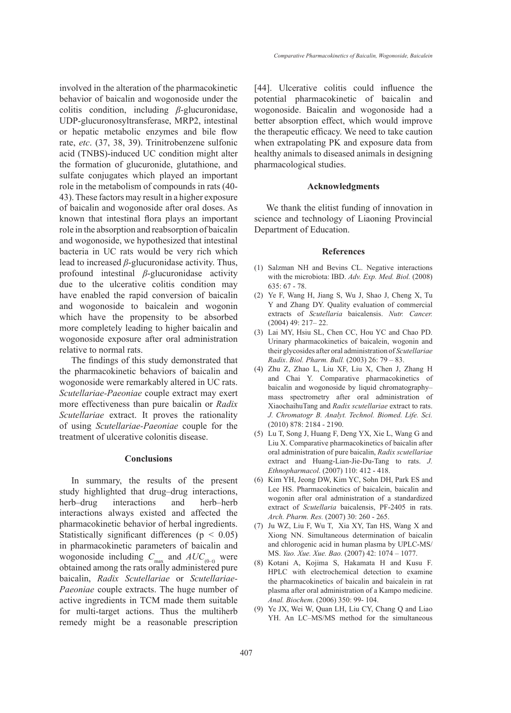involved in the alteration of the pharmacokinetic behavior of baicalin and wogonoside under the colitis condition, including *β*-glucuronidase, UDP-glucuronosyltransferase, MRP2, intestinal or hepatic metabolic enzymes and bile flow rate, *etc*. (37, 38, 39). Trinitrobenzene sulfonic acid (TNBS)-induced UC condition might alter the formation of glucuronide, glutathione, and sulfate conjugates which played an important role in the metabolism of compounds in rats (40- 43). These factors may result in a higher exposure of baicalin and wogonoside after oral doses. As known that intestinal flora plays an important role in the absorption and reabsorption of baicalin and wogonoside, we hypothesized that intestinal bacteria in UC rats would be very rich which lead to increased *β*-glucuronidase activity. Thus, profound intestinal *β*-glucuronidase activity due to the ulcerative colitis condition may have enabled the rapid conversion of baicalin and wogonoside to baicalein and wogonin which have the propensity to be absorbed more completely leading to higher baicalin and wogonoside exposure after oral administration relative to normal rats.

The findings of this study demonstrated that the pharmacokinetic behaviors of baicalin and wogonoside were remarkably altered in UC rats. *Scutellariae-Paeoniae* couple extract may exert more effectiveness than pure baicalin or *Radix Scutellariae* extract. It proves the rationality of using *Scutellariae-Paeoniae* couple for the treatment of ulcerative colonitis disease.

# **Conclusions**

In summary, the results of the present study highlighted that drug–drug interactions, herb–drug interactions and herb–herb interactions always existed and affected the pharmacokinetic behavior of herbal ingredients. Statistically significant differences ( $p < 0.05$ ) in pharmacokinetic parameters of baicalin and wogonoside including  $C_{\text{max}}$  and  $AUC_{(0-t)}$  were obtained among the rats orally administered pure baicalin, *Radix Scutellariae* or *Scutellariae-Paeoniae* couple extracts. The huge number of active ingredients in TCM made them suitable for multi-target actions. Thus the multiherb remedy might be a reasonable prescription [44]. Ulcerative colitis could influence the potential pharmacokinetic of baicalin and wogonoside. Baicalin and wogonoside had a better absorption effect, which would improve the therapeutic efficacy. We need to take caution when extrapolating PK and exposure data from healthy animals to diseased animals in designing pharmacological studies.

### **Acknowledgments**

We thank the elitist funding of innovation in science and technology of Liaoning Provincial Department of Education.

#### **References**

- (1) Salzman NH and Bevins CL. Negative interactions with the microbiota: IBD. Adv. Exp. Med. Biol. (2008)  $635.67 - 78$
- Ye F, Wang H, Jiang S, Wu J, Shao J, Cheng X, Tu (2) Y and Zhang DY. Quality evaluation of commercial extracts of *Scutellaria* baicalensis. *Nutr. Cancer.*  (2004) 49: 217– 22.
- Lai MY, Hsiu SL, Chen CC, Hou YC and Chao PD. (3) Urinary pharmacokinetics of baicalein, wogonin and their glycosides after oral administration of *Scutellariae Radix*. *Biol. Pharm. Bull.* (2003) 26: 79 – 83.
- Zhu Z, Zhao L, Liu XF, Liu X, Chen J, Zhang H (4) and Chai Y. Comparative pharmacokinetics of baicalin and wogonoside by liquid chromatography– mass spectrometry after oral administration of XiaochaihuTang and *Radix scutellariae* extract to rats. *J. Chromatogr B. Analyt. Technol. Biomed. Life. Sci.*  (2010) 878: 2184 - 2190.
- Lu T, Song J, Huang F, Deng YX, Xie L, Wang G and (5) Liu X. Comparative pharmacokinetics of baicalin after oral administration of pure baicalin, *Radix scutellariae* extract and Huang-Lian-Jie-Du-Tang to rats. *J. Ethnopharmacol*. (2007) 110: 412 - 418.
- (6) Kim YH, Jeong DW, Kim YC, Sohn DH, Park ES and Lee HS. Pharmacokinetics of baicalein, baicalin and wogonin after oral administration of a standardized extract of *Scutellaria* baicalensis, PF-2405 in rats. *Arch. Pharm. Res.* (2007) 30: 260 - 265.
- (7) Ju WZ, Liu F, Wu T, Xia XY, Tan HS, Wang X and Xiong NN. Simultaneous determination of baicalin and chlorogenic acid in human plasma by UPLC-MS/ MS. *Yao. Xue. Xue. Bao.* (2007) 42: 1074 – 1077.
- Kotani A, Kojima S, Hakamata H and Kusu F. (8) HPLC with electrochemical detection to examine the pharmacokinetics of baicalin and baicalein in rat plasma after oral administration of a Kampo medicine. *Anal. Biochem*. (2006) 350: 99- 104.
- Ye JX, Wei W, Quan LH, Liu CY, Chang Q and Liao YH. An LC–MS/MS method for the simultaneous (9)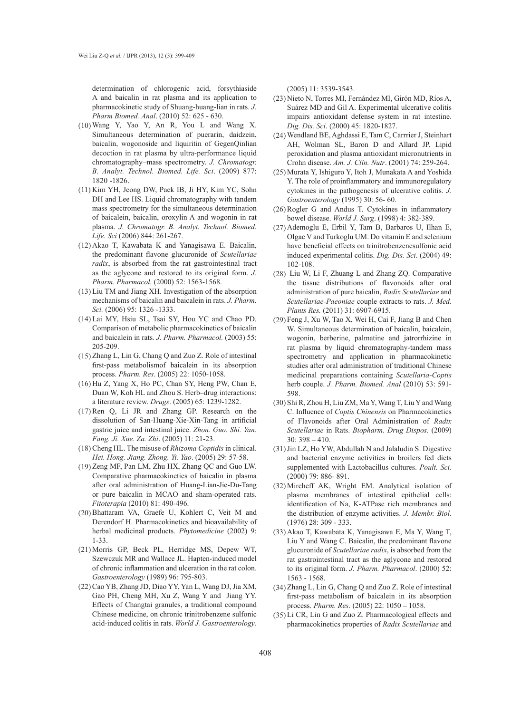determination of chlorogenic acid, forsythiaside A and baicalin in rat plasma and its application to pharmacokinetic study of Shuang-huang-lian in rats. *J. Pharm Biomed. Anal*. (2010) 52: 625 - 630.

- Wang Y, Yao Y, An R, You L and Wang X. (10) Simultaneous determination of puerarin, daidzein, baicalin, wogonoside and liquiritin of GegenQinlian decoction in rat plasma by ultra-performance liquid chromatography–mass spectrometry. *J. Chromatogr. B. Analyt. Technol. Biomed. Life. Sci*. (2009) 877: 1820 -1826.
- (11) Kim YH, Jeong DW, Paek IB, Ji HY, Kim YC, Sohn DH and Lee HS. Liquid chromatography with tandem mass spectrometry for the simultaneous determination of baicalein, baicalin, oroxylin A and wogonin in rat plasma. *J. Chromatogr. B. Analyt. Technol. Biomed. Life. Sci* (2006) 844: 261-267.
- Akao T, Kawabata K and Yanagisawa E. Baicalin, (12) the predominant flavone glucuronide of *Scutellariae radix*, is absorbed from the rat gastrointestinal tract as the aglycone and restored to its original form. *J. Pharm. Pharmacol.* (2000) 52: 1563-1568.
- (13) Liu TM and Jiang XH. Investigation of the absorption mechanisms of baicalin and baicalein in rats. *J. Pharm. Sci.* (2006) 95: 1326 -1333.
- Lai MY, Hsiu SL, Tsai SY, Hou YC and Chao PD. (14) Comparison of metabolic pharmacokinetics of baicalin and baicalein in rats. *J. Pharm. Pharmacol.* (2003) 55: 205-209.
- $(15)$  Zhang L, Lin G, Chang Q and Zuo Z. Role of intestinal first-pass metabolismof baicalein in its absorption process. *Pharm. Res*. (2005) 22: 1050-1058.
- (16) Hu Z, Yang X, Ho PC, Chan SY, Heng PW, Chan E, Duan W, Koh HL and Zhou S. Herb–drug interactions: a literature review. *Drugs*. (2005) 65: 1239-1282.
- $(17)$  Ren Q, Li JR and Zhang GP. Research on the dissolution of San-Huang-Xie-Xin-Tang in artificial gastric juice and intestinal juice. *Zhon. Guo. Shi. Yan. Fang. Ji. Xue. Za. Zhi*. (2005) 11: 21-23.
- Cheng HL. The misuse of *Rhizoma Coptidis* in clinical. (18) *Hei. Hong. Jiang. Zhong. Yi. Yao*. (2005) 29: 57-58.
- (19) Zeng MF, Pan LM, Zhu HX, Zhang QC and Guo LW. Comparative pharmacokinetics of baicalin in plasma after oral administration of Huang-Lian-Jie-Du-Tang or pure baicalin in MCAO and sham-operated rats. *Fitoterapia* (2010) 81: 490-496.
- (20) Bhattaram VA, Graefe U, Kohlert C, Veit M and Derendorf H. Pharmacokinetics and bioavailability of herbal medicinal products. *Phytomedicine* (2002) 9: 1-33.
- (21) Morris GP, Beck PL, Herridge MS, Depew WT, Szewczuk MR and Wallace JL. Hapten-induced model of chronic inflammation and ulceration in the rat colon. *Gastroenterology* (1989) 96: 795-803.
- (22) Cao YB, Zhang JD, Diao YY, Yan L, Wang DJ, Jia XM, Gao PH, Cheng MH, Xu Z, Wang Y and Jiang YY. Effects of Changtai granules, a traditional compound Chinese medicine, on chronic trinitrobenzene sulfonic acid-induced colitis in rats. *World J. Gastroenterology*.

(2005) 11: 3539-3543.

- Nieto N, Torres MI, Fernández MI, Girón MD, Ríos A, (23) Suárez MD and Gil A. Experimental ulcerative colitis impairs antioxidant defense system in rat intestine. *Dig. Dis. Sci*. (2000) 45: 1820-1827.
- Wendland BE, Aghdassi E, Tam C, Carrrier J, Steinhart (24) AH, Wolman SL, Baron D and Allard JP. Lipid peroxidation and plasma antioxidant micronutrients in Crohn disease. *Am. J. Clin. Nutr*. (2001) 74: 259-264.
- Murata Y, Ishiguro Y, Itoh J, Munakata A and Yoshida (25) Y. The role of proinflammatory and immunoregulatory cytokines in the pathogenesis of ulcerative colitis. *J. Gastroenterology* (1995) 30: 56- 60.
- $(26)$  Rogler G and Andus T. Cytokines in inflammatory bowel disease. *World J. Surg*. (1998) 4: 382-389.
- (27) Ademoglu E, Erbil Y, Tam B, Barbaros U, Ilhan E, Olgac V and Turkoglu UM. Do vitamin E and selenium have beneficial effects on trinitrobenzenesulfonic acid induced experimental colitis. *Dig. Dis. Sci*. (2004) 49: 102-108.
- $(28)$  Liu W, Li F, Zhuang L and Zhang ZQ. Comparative the tissue distributions of flavonoids after oral administration of pure baicalin, *Radix Scutellariae* and *Scutellariae-Paeoniae* couple extracts to rats. *J. Med. Plants Res.* (2011) 31: 6907-6915.
- Feng J, Xu W, Tao X, Wei H, Cai F, Jiang B and Chen (29) W. Simultaneous determination of baicalin, baicalein, wogonin, berberine, palmatine and jatrorrhizine in rat plasma by liquid chromatography-tandem mass spectrometry and application in pharmacokinetic studies after oral administration of traditional Chinese medicinal preparations containing *Scutellaria-Coptis* herb couple. *J. Pharm. Biomed. Anal* (2010) 53: 591- 598.
- (30) Shi R, Zhou H, Liu ZM, Ma Y, Wang T, Liu Y and Wang C. Influence of *Coptis Chinensis* on Pharmacokinetics of Flavonoids after Oral Administration of *Radix Scutellariae* in Rats. *Biopharm. Drug Dispos.* (2009) 30: 398 – 410.
- (31) Jin LZ, Ho YW, Abdullah N and Jalaludin S. Digestive and bacterial enzyme activities in broilers fed diets supplemented with Lactobacillus cultures. *Poult. Sci.*  (2000) 79: 886- 891.
- (32) Mircheff AK, Wright EM. Analytical isolation of plasma membranes of intestinal epithelial cells: identification of Na, K-ATPase rich membranes and the distribution of enzyme activities. *J. Membr. Biol*. (1976) 28: 309 - 333.
- (33) Akao T, Kawabata K, Yanagisawa E, Ma Y, Wang T, Liu Y and Wang C. Baicalin, the predominant flavone glucuronide of *Scutellariae radix*, is absorbed from the rat gastrointestinal tract as the aglycone and restored to its original form. *J. Pharm. Pharmacol*. (2000) 52: 1563 - 1568.
- (34) Zhang L, Lin G, Chang Q and Zuo Z. Role of intestinal first-pass metabolism of baicalein in its absorption process. *Pharm. Res*. (2005) 22: 1050 – 1058.
- Li CR, Lin G and Zuo Z. Pharmacological effects and (35)pharmacokinetics properties of *Radix Scutellariae* and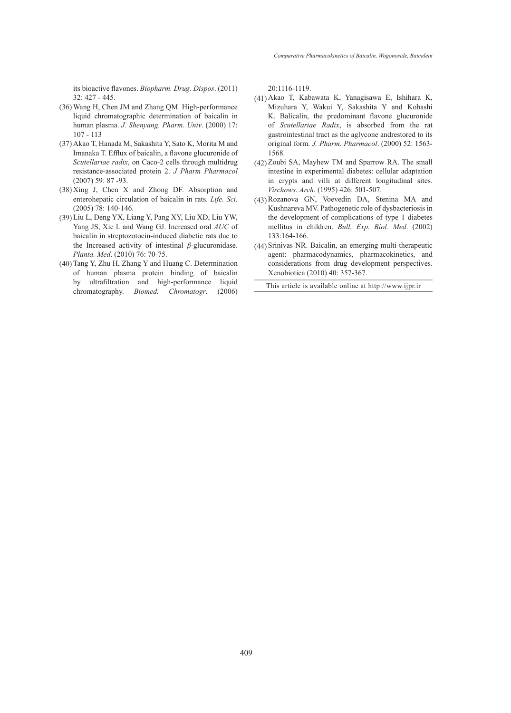its bioactive flavones. *Biopharm. Drug. Dispos*. (2011) 32: 427 - 445.

- Wang H, Chen JM and Zhang QM. High-performance (36) liquid chromatographic determination of baicalin in human plasma. *J. Shenyang. Pharm. Univ*. (2000) 17: 107 - 113
- (37) Akao T, Hanada M, Sakashita Y, Sato K, Morita M and Imanaka T. Efflux of baicalin, a flavone glucuronide of *Scutellariae radix*, on Caco-2 cells through multidrug resistance-associated protein 2. *J Pharm Pharmacol*  (2007) 59: 87 -93.
- $(38)$  Xing J, Chen X and Zhong DF. Absorption and enterohepatic circulation of baicalin in rats. *Life. Sci.*  (2005) 78: 140-146.
- (39) Liu L, Deng YX, Liang Y, Pang XY, Liu XD, Liu YW, Yang JS, Xie L and Wang GJ. Increased oral *AUC* of baicalin in streptozotocin-induced diabetic rats due to the Increased activity of intestinal *β*-glucuronidase. *Planta. Med*. (2010) 76: 70-75.
- (40) Tang Y, Zhu H, Zhang Y and Huang C. Determination of human plasma protein binding of baicalin by ultrafiltration and high-performance liquid chromatography. *Biomed. Chromatogr*. (2006)

20:1116-1119.

- Akao T, Kabawata K, Yanagisawa E, Ishihara K, (41) Mizuhara Y, Wakui Y, Sakashita Y and Kobashi K. Balicalin, the predominant flavone glucuronide of *Scutellariae Radix*, is absorbed from the rat gastrointestinal tract as the aglycone andrestored to its original form. *J. Pharm. Pharmacol*. (2000) 52: 1563- 1568.
- $(42)$  Zoubi SA, Mayhew TM and Sparrow RA. The small intestine in experimental diabetes: cellular adaptation in crypts and villi at different longitudinal sites. *Virchows. Arch.* (1995) 426: 501-507.
- Rozanova GN, Voevedin DA, Stenina MA and (43) Kushnareva MV. Pathogenetic role of dysbacteriosis in the development of complications of type 1 diabetes mellitus in children. *Bull. Exp. Biol. Med*. (2002) 133:164-166.
- Srinivas NR. Baicalin, an emerging multi-therapeutic (44)agent: pharmacodynamics, pharmacokinetics, and considerations from drug development perspectives. Xenobiotica (2010) 40: 357-367.

This article is available online at http://www.ijpr.ir